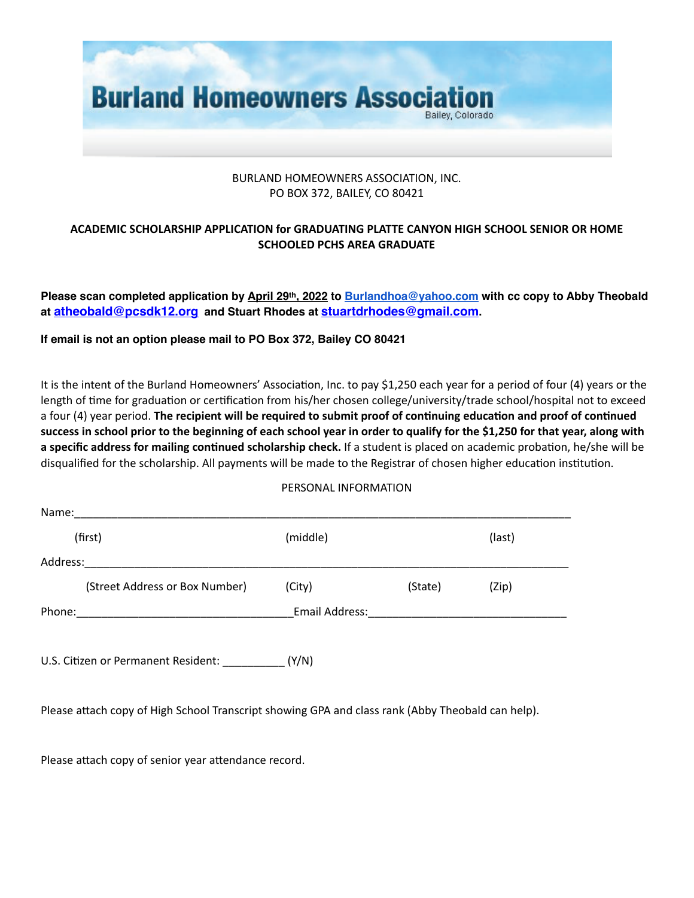

## BURLAND HOMEOWNERS ASSOCIATION, INC. PO BOX 372, BAILEY, CO 80421

## **ACADEMIC SCHOLARSHIP APPLICATION for GRADUATING PLATTE CANYON HIGH SCHOOL SENIOR OR HOME SCHOOLED PCHS AREA GRADUATE**

**Please scan completed application by April 29th, 2022 to [Burlandhoa@yahoo.com](mailto:Burlandhoa@yahoo.com) with cc copy to Abby Theobald at [atheobald@pcsdk12.org](mailto:atheobald@pcsdk12.org) and Stuart Rhodes at [stuartdrhodes@gmail.com.](mailto:stuartdrhodes@gmail.com)** 

**If email is not an option please mail to PO Box 372, Bailey CO 80421** 

It is the intent of the Burland Homeowners' Association, Inc. to pay \$1,250 each year for a period of four (4) years or the length of time for graduation or certification from his/her chosen college/university/trade school/hospital not to exceed a four (4) year period. **The recipient will be required to submit proof of continuing education and proof of continued success in school prior to the beginning of each school year in order to qualify for the \$1,250 for that year, along with a specific address for mailing continued scholarship check.** If a student is placed on academic probation, he/she will be disqualified for the scholarship. All payments will be made to the Registrar of chosen higher education institution.

## PERSONAL INFORMATION

| Name:    |                                |                |         |        |
|----------|--------------------------------|----------------|---------|--------|
|          | (first)                        | (middle)       |         | (last) |
| Address: |                                |                |         |        |
|          | (Street Address or Box Number) | (City)         | (State) | (Zip)  |
| Phone:   |                                | Email Address: |         |        |

U.S. Citizen or Permanent Resident: \_\_\_\_\_\_\_\_\_\_ (Y/N)

Please attach copy of High School Transcript showing GPA and class rank (Abby Theobald can help).

Please attach copy of senior year attendance record.